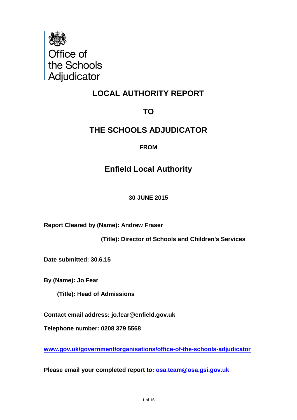

# **LOCAL AUTHORITY REPORT**

# **TO**

# **THE SCHOOLS ADJUDICATOR**

# **FROM**

# **Enfield Local Authority**

**30 JUNE 2015**

**Report Cleared by (Name): Andrew Fraser**

 **(Title): Director of Schools and Children's Services**

**Date submitted: 30.6.15**

**By (Name): Jo Fear**

 **(Title): Head of Admissions**

**Contact email address: jo.fear@enfield.gov.uk**

**Telephone number: 0208 379 5568**

**[www.gov.uk/government/organisations/office-of-the-schools-adjudicator](http://www.gov.uk/government/organisations/office-of-the-schools-adjudicator)**

**Please email your completed report to: [osa.team@osa.gsi.gov.uk](mailto:osa.team@osa.gsi.gov.uk)**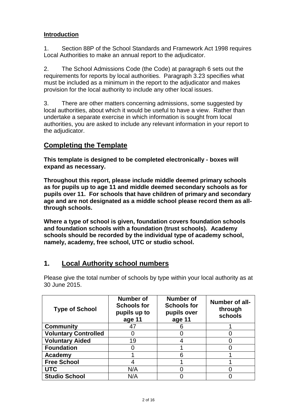## **Introduction**

1. Section 88P of the School Standards and Framework Act 1998 requires Local Authorities to make an annual report to the adjudicator.

2. The School Admissions Code (the Code) at paragraph 6 sets out the requirements for reports by local authorities. Paragraph 3.23 specifies what must be included as a minimum in the report to the adjudicator and makes provision for the local authority to include any other local issues.

3. There are other matters concerning admissions, some suggested by local authorities, about which it would be useful to have a view. Rather than undertake a separate exercise in which information is sought from local authorities, you are asked to include any relevant information in your report to the adjudicator.

# **Completing the Template**

**This template is designed to be completed electronically - boxes will expand as necessary.**

**Throughout this report, please include middle deemed primary schools as for pupils up to age 11 and middle deemed secondary schools as for pupils over 11. For schools that have children of primary and secondary age and are not designated as a middle school please record them as allthrough schools.**

**Where a type of school is given, foundation covers foundation schools and foundation schools with a foundation (trust schools). Academy schools should be recorded by the individual type of academy school, namely, academy, free school, UTC or studio school.**

# **1. Local Authority school numbers**

Please give the total number of schools by type within your local authority as at 30 June 2015.

| <b>Type of School</b>       | Number of<br><b>Schools for</b><br>pupils up to<br>age 11 | Number of<br><b>Schools for</b><br>pupils over<br>age 11 | Number of all-<br>through<br>schools |
|-----------------------------|-----------------------------------------------------------|----------------------------------------------------------|--------------------------------------|
| <b>Community</b>            | 47                                                        |                                                          |                                      |
| <b>Voluntary Controlled</b> |                                                           |                                                          |                                      |
| <b>Voluntary Aided</b>      | 19                                                        |                                                          |                                      |
| <b>Foundation</b>           |                                                           |                                                          |                                      |
| Academy                     |                                                           |                                                          |                                      |
| <b>Free School</b>          |                                                           |                                                          |                                      |
| <b>UTC</b>                  | N/A                                                       |                                                          |                                      |
| <b>Studio School</b>        | N/A                                                       |                                                          |                                      |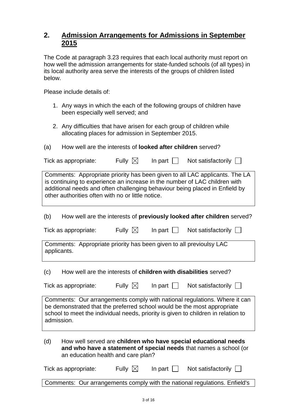# **2. Admission Arrangements for Admissions in September 2015**

The Code at paragraph 3.23 requires that each local authority must report on how well the admission arrangements for state-funded schools (of all types) in its local authority area serve the interests of the groups of children listed below.

Please include details of:

- 1. Any ways in which the each of the following groups of children have been especially well served; and
- 2. Any difficulties that have arisen for each group of children while allocating places for admission in September 2015.
- (a) How well are the interests of **looked after children** served?

| Tick as appropriate:                                                                                                                                                                                           | Fully $\boxtimes$ | In part $\Box$ | Not satisfactorily $\Box$                                                   |  |  |
|----------------------------------------------------------------------------------------------------------------------------------------------------------------------------------------------------------------|-------------------|----------------|-----------------------------------------------------------------------------|--|--|
| is continuing to experience an increase in the number of LAC children with<br>additional needs and often challenging behaviour being placed in Enfield by<br>other authorities often with no or little notice. |                   |                | Comments: Appropriate priority has been given to all LAC applicants. The LA |  |  |
| (b)                                                                                                                                                                                                            |                   |                | How well are the interests of previously looked after children served?      |  |  |
| Tick as appropriate:                                                                                                                                                                                           | Fully $\boxtimes$ | In part $\Box$ | Not satisfactorily $\Box$                                                   |  |  |
| Comments: Appropriate priority has been given to all previoulsy LAC<br>applicants.                                                                                                                             |                   |                |                                                                             |  |  |
| (c)<br>How well are the interests of children with disabilities served?                                                                                                                                        |                   |                |                                                                             |  |  |
| Tick as appropriate:                                                                                                                                                                                           | Fully $\boxtimes$ | In part $\Box$ | Not satisfactorily $\Box$                                                   |  |  |
| be demonstrated that the preferred school would be the most appropriate<br>school to meet the individual needs, priority is given to children in relation to<br>admission.                                     |                   |                | Comments: Our arrangements comply with national regulations. Where it can   |  |  |
| How well served are children who have special educational needs<br>(d)<br>and who have a statement of special needs that names a school (or<br>an education health and care plan?                              |                   |                |                                                                             |  |  |
| Tick as appropriate:                                                                                                                                                                                           | Fully $\boxtimes$ | In part $\Box$ | Not satisfactorily $\Box$                                                   |  |  |
|                                                                                                                                                                                                                |                   |                | Comments: Our arrangements comply with the national regulations. Enfield's  |  |  |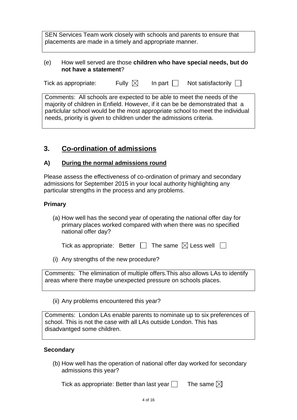SEN Services Team work closely with schools and parents to ensure that placements are made in a timely and appropriate manner.

#### (e) How well served are those **children who have special needs, but do not have a statement**?

| In part $\Box$<br>Fully $\boxtimes$<br>Not satisfactorily $\Box$<br>Tick as appropriate: |  |
|------------------------------------------------------------------------------------------|--|
|------------------------------------------------------------------------------------------|--|

Comments: All schools are expected to be able to meet the needs of the majority of children in Enfield. However, if it can be be demonstrated that a particlular school would be the most appropriate school to meet the individual needs, priority is given to children under the admissions criteria.

# **3. Co-ordination of admissions**

## **A) During the normal admissions round**

Please assess the effectiveness of co-ordination of primary and secondary admissions for September 2015 in your local authority highlighting any particular strengths in the process and any problems.

## **Primary**

(a) How well has the second year of operating the national offer day for primary places worked compared with when there was no specified national offer day?

| Tick as appropriate: Better $\Box$ The same $\boxtimes$ Less well $\Box$ |  |  |  |  |  |
|--------------------------------------------------------------------------|--|--|--|--|--|
|--------------------------------------------------------------------------|--|--|--|--|--|

(i) Any strengths of the new procedure?

Comments: The elimination of multiple offers.This also allows LAs to identify areas where there maybe unexpected pressure on schools places.

(ii) Any problems encountered this year?

Comments: London LAs enable parents to nominate up to six preferences of school. This is not the case with all LAs outside London. This has disadvantged some children.

## **Secondary**

(b) How well has the operation of national offer day worked for secondary admissions this year?

Tick as appropriate: Better than last year  $\square$  The same  $\boxtimes$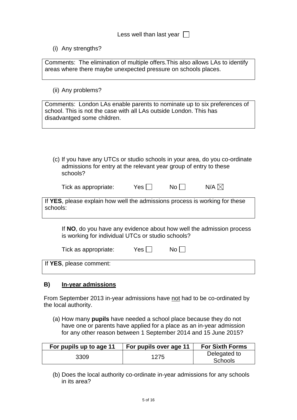Less well than last year  $\Box$ 

(i) Any strengths?

Comments: The elimination of multiple offers.This also allows LAs to identify areas where there maybe unexpected pressure on schools places.

(ii) Any problems?

Comments: London LAs enable parents to nominate up to six preferences of school. This is not the case with all LAs outside London. This has disadvantged some children.

(c) If you have any UTCs or studio schools in your area, do you co-ordinate admissions for entry at the relevant year group of entry to these schools?

| Tick as appropriate: | $Yes \lceil$ | No <sub>1</sub> | N/A $\boxtimes$ |
|----------------------|--------------|-----------------|-----------------|
|----------------------|--------------|-----------------|-----------------|

If **YES**, please explain how well the admissions process is working for these schools:

If **NO**, do you have any evidence about how well the admission process is working for individual UTCs or studio schools?

| Tick as appropriate:    | Yes <sub>1</sub> | No. |  |
|-------------------------|------------------|-----|--|
| If YES, please comment: |                  |     |  |

#### **B) In-year admissions**

From September 2013 in-year admissions have not had to be co-ordinated by the local authority.

(a) How many **pupils** have needed a school place because they do not have one or parents have applied for a place as an in-year admission for any other reason between 1 September 2014 and 15 June 2015?

| For pupils up to age 11 | For pupils over age 11 | <b>For Sixth Forms</b>  |
|-------------------------|------------------------|-------------------------|
| 3309                    | 1275                   | Delegated to<br>Schools |

(b) Does the local authority co-ordinate in-year admissions for any schools in its area?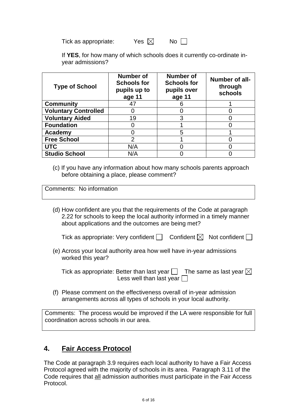Tick as appropriate:  $Yes \nabla$  No  $\nabla$ 

If **YES**, for how many of which schools does it currently co-ordinate inyear admissions?

| <b>Type of School</b>       | Number of<br><b>Schools for</b><br>pupils up to<br>age 11 | <b>Number of</b><br><b>Schools for</b><br>pupils over<br>age 11 | Number of all-<br>through<br>schools |
|-----------------------------|-----------------------------------------------------------|-----------------------------------------------------------------|--------------------------------------|
| <b>Community</b>            | 47                                                        |                                                                 |                                      |
| <b>Voluntary Controlled</b> |                                                           |                                                                 |                                      |
| <b>Voluntary Aided</b>      | 19                                                        | 3                                                               |                                      |
| <b>Foundation</b>           |                                                           |                                                                 |                                      |
| Academy                     |                                                           | 5                                                               |                                      |
| <b>Free School</b>          | $\mathcal{P}$                                             |                                                                 |                                      |
| <b>UTC</b>                  | N/A                                                       |                                                                 |                                      |
| <b>Studio School</b>        | N/A                                                       |                                                                 |                                      |

(c) If you have any information about how many schools parents approach before obtaining a place, please comment?

Comments: No information

(d) How confident are you that the requirements of the Code at paragraph 2.22 for schools to keep the local authority informed in a timely manner about applications and the outcomes are being met?

Tick as appropriate: Very confident  $\Box$  Confident  $\boxtimes$  Not confident  $\Box$ 

(e) Across your local authority area how well have in-year admissions worked this year?

Tick as appropriate: Better than last year  $\Box$  The same as last year  $\boxtimes$ Less well than last year  $\Box$ 

(f) Please comment on the effectiveness overall of in-year admission arrangements across all types of schools in your local authority.

Comments: The process would be improved if the LA were responsible for full coordination across schools in our area.

# **4. Fair Access Protocol**

The Code at paragraph 3.9 requires each local authority to have a Fair Access Protocol agreed with the majority of schools in its area. Paragraph 3.11 of the Code requires that all admission authorities must participate in the Fair Access Protocol.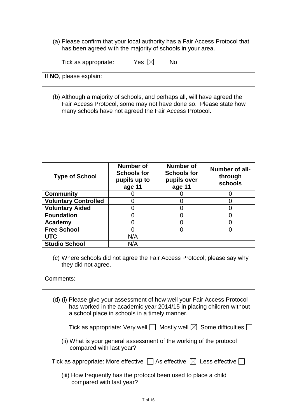(a) Please confirm that your local authority has a Fair Access Protocol that has been agreed with the majority of schools in your area.

| Tick as appropriate:   | Yes $\boxtimes$ | No. |  |
|------------------------|-----------------|-----|--|
| If NO, please explain: |                 |     |  |

(b) Although a majority of schools, and perhaps all, will have agreed the Fair Access Protocol, some may not have done so. Please state how many schools have not agreed the Fair Access Protocol.

| <b>Type of School</b>       | Number of<br><b>Schools for</b><br>pupils up to<br>age 11 | Number of<br><b>Schools for</b><br>pupils over<br>age 11 | Number of all-<br>through<br>schools |
|-----------------------------|-----------------------------------------------------------|----------------------------------------------------------|--------------------------------------|
| <b>Community</b>            |                                                           |                                                          |                                      |
| <b>Voluntary Controlled</b> |                                                           |                                                          |                                      |
| <b>Voluntary Aided</b>      |                                                           |                                                          |                                      |
| <b>Foundation</b>           |                                                           |                                                          |                                      |
| Academy                     |                                                           |                                                          |                                      |
| <b>Free School</b>          |                                                           |                                                          |                                      |
| <b>UTC</b>                  | N/A                                                       |                                                          |                                      |
| <b>Studio School</b>        | N/A                                                       |                                                          |                                      |

(c) Where schools did not agree the Fair Access Protocol; please say why they did not agree.

#### Comments:

(d) (i) Please give your assessment of how well your Fair Access Protocol has worked in the academic year 2014/15 in placing children without a school place in schools in a timely manner.

Tick as appropriate: Very well  $\Box$  Mostly well  $\boxtimes$  Some difficulties  $\Box$ 

(ii) What is your general assessment of the working of the protocol compared with last year?

| Tick as appropriate: More effective $\Box$ As effective $\boxtimes$ Less effective $\Box$ |  |  |  |  |  |
|-------------------------------------------------------------------------------------------|--|--|--|--|--|
|-------------------------------------------------------------------------------------------|--|--|--|--|--|

(iii) How frequently has the protocol been used to place a child compared with last year?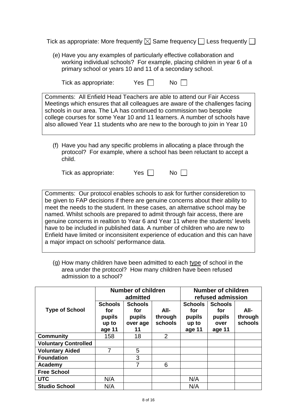Tick as appropriate: More frequently  $\boxtimes$  Same frequency  $\Box$  Less frequently  $\Box$ 

(e) Have you any examples of particularly effective collaboration and working individual schools? For example, placing children in year 6 of a primary school or years 10 and 11 of a secondary school.

| Tick as appropriate:                                                | Yes $  \  $ | $No$ $\vert$ $\vert$                                                                                                                                                                                                                                                                                                 |  |
|---------------------------------------------------------------------|-------------|----------------------------------------------------------------------------------------------------------------------------------------------------------------------------------------------------------------------------------------------------------------------------------------------------------------------|--|
| schools in our area. The LA has continued to commission two bespoke |             | Comments: All Enfield Head Teachers are able to attend our Fair Access<br>Meetings which ensures that all colleagues are aware of the challenges facing<br>college courses for some Year 10 and 11 learners. A number of schools have<br>also allowed Year 11 students who are new to the borough to join in Year 10 |  |

(f) Have you had any specific problems in allocating a place through the protocol? For example, where a school has been reluctant to accept a child.

Tick as appropriate:  $Yes \Box$  No  $\Box$ 

Comments: Our protocol enables schools to ask for further consideretion to be given to FAP decisions if there are genuine concerns about their ability to meet the needs to the student. In these cases, an alternative school may be named. Whilst schools are prepared to admit through fair access, there are genuine concerns in realtion to Year 6 and Year 11 where the students' levels have to be included in published data. A number of children who are new to Enfield have limited or inconsisitent experience of education and this can have a major impact on schools' performance data.

(g) How many children have been admitted to each type of school in the area under the protocol? How many children have been refused admission to a school?

|                             | <b>Number of children</b><br>admitted              |                                                   |                            | <b>Number of children</b><br>refused admission     |                                                   |                            |
|-----------------------------|----------------------------------------------------|---------------------------------------------------|----------------------------|----------------------------------------------------|---------------------------------------------------|----------------------------|
| <b>Type of School</b>       | <b>Schools</b><br>for<br>pupils<br>up to<br>age 11 | <b>Schools</b><br>for<br>pupils<br>over age<br>11 | All-<br>through<br>schools | <b>Schools</b><br>for<br>pupils<br>up to<br>age 11 | <b>Schools</b><br>for<br>pupils<br>over<br>age 11 | All-<br>through<br>schools |
| <b>Community</b>            | 158                                                | 18                                                | 2                          |                                                    |                                                   |                            |
| <b>Voluntary Controlled</b> |                                                    |                                                   |                            |                                                    |                                                   |                            |
| <b>Voluntary Aided</b>      | 7                                                  | 5                                                 |                            |                                                    |                                                   |                            |
| <b>Foundation</b>           |                                                    | 3                                                 |                            |                                                    |                                                   |                            |
| Academy                     |                                                    | 7                                                 | 6                          |                                                    |                                                   |                            |
| <b>Free School</b>          |                                                    |                                                   |                            |                                                    |                                                   |                            |
| <b>UTC</b>                  | N/A                                                |                                                   |                            | N/A                                                |                                                   |                            |
| <b>Studio School</b>        | N/A                                                |                                                   |                            | N/A                                                |                                                   |                            |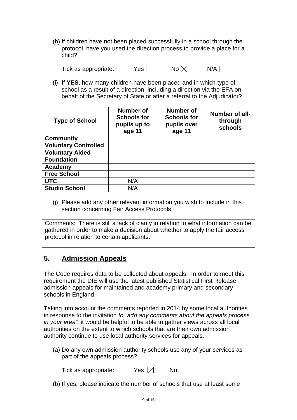(h) If children have not been placed successfully in a school through the protocol, have you used the direction process to provide a place for a child?

|                      | Yes $\lceil$ , | No $\boxtimes$ | $N/A$ $\Box$ |
|----------------------|----------------|----------------|--------------|
| Tick as appropriate: |                |                |              |

(i) If **YES**, how many children have been placed and in which type of school as a result of a direction, including a direction via the EFA on behalf of the Secretary of State or after a referral to the Adjudicator?

| <b>Type of School</b>       | <b>Number of</b><br><b>Schools for</b><br>pupils up to<br>age 11 | <b>Number of</b><br><b>Schools for</b><br>pupils over<br>age 11 | Number of all-<br>through<br>schools |
|-----------------------------|------------------------------------------------------------------|-----------------------------------------------------------------|--------------------------------------|
| <b>Community</b>            |                                                                  |                                                                 |                                      |
| <b>Voluntary Controlled</b> |                                                                  |                                                                 |                                      |
| <b>Voluntary Aided</b>      |                                                                  |                                                                 |                                      |
| <b>Foundation</b>           |                                                                  |                                                                 |                                      |
| Academy                     |                                                                  |                                                                 |                                      |
| <b>Free School</b>          |                                                                  |                                                                 |                                      |
| <b>UTC</b>                  | N/A                                                              |                                                                 |                                      |
| <b>Studio School</b>        | N/A                                                              |                                                                 |                                      |

(j) Please add any other relevant information you wish to include in this section concerning Fair Access Protocols.

Comments: There is still a lack of clarity in relation to what information can be gathered in order to make a decision about whether to apply the fair access protocol in relation to certain applicants.

# **5. Admission Appeals**

The Code requires data to be collected about appeals. In order to meet this requirement the DfE will use the latest published Statistical First Release: admission appeals for maintained and academy primary and secondary schools in England.

Taking into account the comments reported in 2014 by some local authorities in response to the invitation *to "add any comments about the appeals process in your area"*, it would be helpful to be able to gather views across all local authorities on the extent to which schools that are their own admission authority continue to use local authority services for appeals.

(a) Do any own admission authority schools use any of your services as part of the appeals process?

| Tick as appropriate: | Yes $\boxtimes$ | No $\Box$ |
|----------------------|-----------------|-----------|
|----------------------|-----------------|-----------|

(b) If yes, please indicate the number of schools that use at least some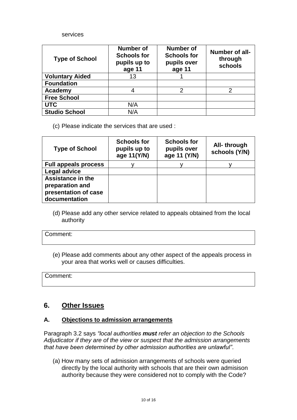#### services

| <b>Type of School</b>  | Number of<br><b>Schools for</b><br>pupils up to<br>age 11 | Number of<br><b>Schools for</b><br>pupils over<br>age 11 | Number of all-<br>through<br>schools |
|------------------------|-----------------------------------------------------------|----------------------------------------------------------|--------------------------------------|
| <b>Voluntary Aided</b> | 13                                                        |                                                          |                                      |
| <b>Foundation</b>      |                                                           |                                                          |                                      |
| Academy                |                                                           | っ                                                        | 2                                    |
| <b>Free School</b>     |                                                           |                                                          |                                      |
| <b>UTC</b>             | N/A                                                       |                                                          |                                      |
| <b>Studio School</b>   | N/A                                                       |                                                          |                                      |

(c) Please indicate the services that are used :

| <b>Type of School</b>                                                                | <b>Schools for</b><br>pupils up to<br>age 11(Y/N) | <b>Schools for</b><br>pupils over<br>age 11 (Y/N) | All-through<br>schools (Y/N) |
|--------------------------------------------------------------------------------------|---------------------------------------------------|---------------------------------------------------|------------------------------|
| <b>Full appeals process</b>                                                          |                                                   |                                                   |                              |
| <b>Legal advice</b>                                                                  |                                                   |                                                   |                              |
| <b>Assistance in the</b><br>preparation and<br>presentation of case<br>documentation |                                                   |                                                   |                              |

(d) Please add any other service related to appeals obtained from the local authority

#### Comment:

(e) Please add comments about any other aspect of the appeals process in your area that works well or causes difficulties.

Comment:

# **6. Other Issues**

#### **A. Objections to admission arrangements**

Paragraph 3.2 says *"local authorities must refer an objection to the Schools Adjudicator if they are of the view or suspect that the admission arrangements that have been determined by other admission authorities are unlawful"*.

(a) How many sets of admission arrangements of schools were queried directly by the local authority with schools that are their own admisison authority because they were considered not to comply with the Code?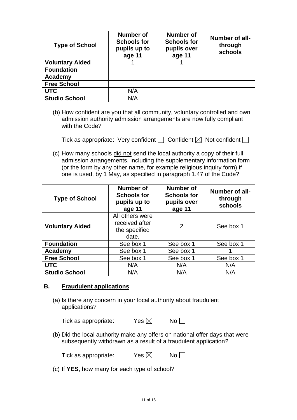| <b>Type of School</b>  | Number of<br><b>Schools for</b><br>pupils up to<br>age 11 | Number of<br><b>Schools for</b><br>pupils over<br>age 11 | Number of all-<br>through<br>schools |
|------------------------|-----------------------------------------------------------|----------------------------------------------------------|--------------------------------------|
| <b>Voluntary Aided</b> |                                                           |                                                          |                                      |
| <b>Foundation</b>      |                                                           |                                                          |                                      |
| Academy                |                                                           |                                                          |                                      |
| <b>Free School</b>     |                                                           |                                                          |                                      |
| <b>UTC</b>             | N/A                                                       |                                                          |                                      |
| <b>Studio School</b>   | N/A                                                       |                                                          |                                      |

(b) How confident are you that all community, voluntary controlled and own admission authority admission arrangements are now fully compliant with the Code?

| Tick as appropriate: Very confident $\Box$ Confident $\boxtimes$ Not confident $\Box$ |  |  |  |  |  |
|---------------------------------------------------------------------------------------|--|--|--|--|--|
|---------------------------------------------------------------------------------------|--|--|--|--|--|

(c) How many schools did not send the local authority a copy of their full admission arrangements, including the supplementary information form (or the form by any other name, for example religious inquiry form) if one is used, by 1 May, as specified in paragraph 1.47 of the Code?

| <b>Type of School</b>  | <b>Number of</b><br><b>Schools for</b><br>pupils up to<br>age 11 | <b>Number of</b><br><b>Schools for</b><br>pupils over<br>age 11 | Number of all-<br>through<br>schools |
|------------------------|------------------------------------------------------------------|-----------------------------------------------------------------|--------------------------------------|
| <b>Voluntary Aided</b> | All others were<br>received after<br>the specified<br>date.      | 2                                                               | See box 1                            |
| <b>Foundation</b>      | See box 1                                                        | See box 1                                                       | See box 1                            |
| Academy                | See box 1                                                        | See box 1                                                       |                                      |
| <b>Free School</b>     | See box 1                                                        | See box 1                                                       | See box 1                            |
| <b>UTC</b>             | N/A                                                              | N/A                                                             | N/A                                  |
| <b>Studio School</b>   | N/A                                                              | N/A                                                             | N/A                                  |

#### **B. Fraudulent applications**

(a) Is there any concern in your local authority about fraudulent applications?

| Yes $\boxtimes$ | No |
|-----------------|----|
|                 |    |

(b) Did the local authority make any offers on national offer days that were subsequently withdrawn as a result of a fraudulent application?

| Tick as appropriate: | Yes $\boxtimes$ | No |
|----------------------|-----------------|----|
|----------------------|-----------------|----|

(c) If **YES**, how many for each type of school?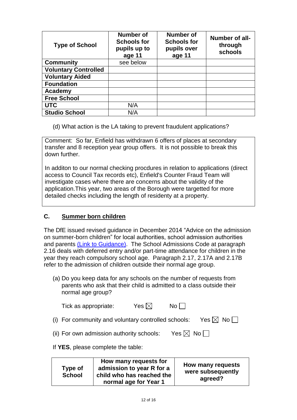| <b>Type of School</b>       | Number of<br><b>Schools for</b><br>pupils up to<br>age 11 | Number of<br><b>Schools for</b><br>pupils over<br>age 11 | Number of all-<br>through<br>schools |
|-----------------------------|-----------------------------------------------------------|----------------------------------------------------------|--------------------------------------|
| <b>Community</b>            | see below                                                 |                                                          |                                      |
| <b>Voluntary Controlled</b> |                                                           |                                                          |                                      |
| <b>Voluntary Aided</b>      |                                                           |                                                          |                                      |
| <b>Foundation</b>           |                                                           |                                                          |                                      |
| Academy                     |                                                           |                                                          |                                      |
| <b>Free School</b>          |                                                           |                                                          |                                      |
| <b>UTC</b>                  | N/A                                                       |                                                          |                                      |
| <b>Studio School</b>        | N/A                                                       |                                                          |                                      |

(d) What action is the LA taking to prevent fraudulent applications?

Comment: So far, Enfield has withdrawn 6 offers of places at secondary transfer and 8 reception year group offers. It is not possible to break this down further.

In additon to our normal checking procdures in relation to applications (direct access to Council Tax records etc), Enfield's Counter Fraud Team will investigate cases where there are concerns about the validity of the application.This year, two areas of the Borough were targetted for more detailed checks including the length of residenty at a property.

## **C. Summer born children**

The DfE issued revised guidance in December 2014 "Advice on the admission on summer-born children" for local authorities, school admission authorities and parents [\(Link to Guidance\).](https://www.gov.uk/government/publications/summer-born-children-school-admission) The School Admissions Code at paragraph 2.16 deals with deferred entry and/or part-time attendance for children in the year they reach compulsory school age. Paragraph 2.17, 2.17A and 2.17B refer to the admission of children outside their normal age group.

(a) Do you keep data for any schools on the number of requests from parents who ask that their child is admitted to a class outside their normal age group?

| Tick as appropriate:                                | Yes $\boxtimes$ | $No \Box$ |                           |
|-----------------------------------------------------|-----------------|-----------|---------------------------|
| (i) For community and voluntary controlled schools: |                 |           | Yes $\boxtimes$ No $\Box$ |

(ii) For own admission authority schools: Yes  $\boxtimes$  No  $\Box$ 

## If **YES**, please complete the table:

| Type of<br><b>School</b> | How many requests for<br>admission to year R for a<br>child who has reached the<br>normal age for Year 1 | How many requests<br>were subsequently<br>agreed? |
|--------------------------|----------------------------------------------------------------------------------------------------------|---------------------------------------------------|
|--------------------------|----------------------------------------------------------------------------------------------------------|---------------------------------------------------|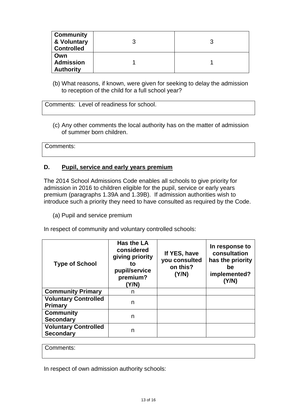| <b>Community</b><br>& Voluntary<br><b>Controlled</b> | n |
|------------------------------------------------------|---|
| Own<br><b>Admission</b><br><b>Authority</b>          |   |

(b) What reasons, if known, were given for seeking to delay the admission to reception of the child for a full school year?

Comments: Level of readiness for school.

(c) Any other comments the local authority has on the matter of admission of summer born children.

Comments:

#### **D. Pupil, service and early years premium**

The 2014 School Admissions Code enables all schools to give priority for admission in 2016 to children eligible for the pupil, service or early years premium (paragraphs 1.39A and 1.39B). If admission authorities wish to introduce such a priority they need to have consulted as required by the Code.

(a) Pupil and service premium

In respect of community and voluntary controlled schools:

| <b>Type of School</b>                           | <b>Has the LA</b><br>considered<br>giving priority<br>to<br>pupil/service<br>premium?<br>(Y/N) | If YES, have<br>you consulted<br>on this?<br>(Y/N) | In response to<br>consultation<br>has the priority<br>be<br>implemented?<br>(Y/N) |
|-------------------------------------------------|------------------------------------------------------------------------------------------------|----------------------------------------------------|-----------------------------------------------------------------------------------|
| <b>Community Primary</b>                        | n                                                                                              |                                                    |                                                                                   |
| <b>Voluntary Controlled</b><br><b>Primary</b>   | n                                                                                              |                                                    |                                                                                   |
| <b>Community</b><br><b>Secondary</b>            | n                                                                                              |                                                    |                                                                                   |
| <b>Voluntary Controlled</b><br><b>Secondary</b> | n                                                                                              |                                                    |                                                                                   |

Comments:

In respect of own admission authority schools: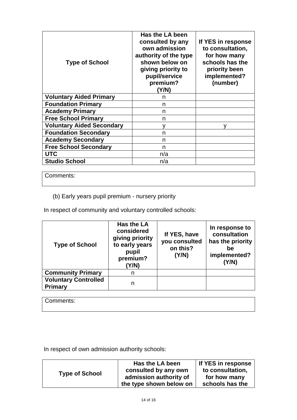| <b>Type of School</b>            | Has the LA been<br>consulted by any<br>own admission<br>authority of the type<br>shown below on<br>giving priority to<br>pupil/service<br>premium?<br>Y/N) | If YES in response<br>to consultation,<br>for how many<br>schools has the<br>priority been<br>implemented?<br>(number) |
|----------------------------------|------------------------------------------------------------------------------------------------------------------------------------------------------------|------------------------------------------------------------------------------------------------------------------------|
| <b>Voluntary Aided Primary</b>   | n                                                                                                                                                          |                                                                                                                        |
| <b>Foundation Primary</b>        | n                                                                                                                                                          |                                                                                                                        |
| <b>Academy Primary</b>           | n                                                                                                                                                          |                                                                                                                        |
| <b>Free School Primary</b>       | n                                                                                                                                                          |                                                                                                                        |
| <b>Voluntary Aided Secondary</b> | v                                                                                                                                                          |                                                                                                                        |
| <b>Foundation Secondary</b>      | n                                                                                                                                                          |                                                                                                                        |
| <b>Academy Secondary</b>         | n                                                                                                                                                          |                                                                                                                        |
| <b>Free School Secondary</b>     | n                                                                                                                                                          |                                                                                                                        |
| UTC                              | n/a                                                                                                                                                        |                                                                                                                        |
| <b>Studio School</b>             | n/a                                                                                                                                                        |                                                                                                                        |

Comments:

(b) Early years pupil premium - nursery priority

In respect of community and voluntary controlled schools:

| <b>Type of School</b>                         | <b>Has the LA</b><br>considered<br>giving priority<br>to early years<br>pupil<br>premium?<br>(Y/N) | If YES, have<br>you consulted<br>on this?<br>(Y/N) | In response to<br>consultation<br>has the priority<br>be<br>implemented?<br>(Y/N) |
|-----------------------------------------------|----------------------------------------------------------------------------------------------------|----------------------------------------------------|-----------------------------------------------------------------------------------|
| <b>Community Primary</b>                      | n                                                                                                  |                                                    |                                                                                   |
| <b>Voluntary Controlled</b><br><b>Primary</b> | n                                                                                                  |                                                    |                                                                                   |

Comments:

In respect of own admission authority schools:

|                       | Has the LA been         | If YES in response |
|-----------------------|-------------------------|--------------------|
|                       | consulted by any own    | to consultation,   |
| <b>Type of School</b> | admission authority of  | for how many       |
|                       | the type shown below on | schools has the    |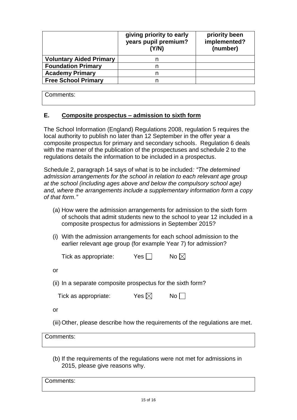|                                | giving priority to early<br>years pupil premium?<br>(Y/N) | priority been<br>implemented?<br>(number) |
|--------------------------------|-----------------------------------------------------------|-------------------------------------------|
| <b>Voluntary Aided Primary</b> | n                                                         |                                           |
| <b>Foundation Primary</b>      | n                                                         |                                           |
| <b>Academy Primary</b>         | n                                                         |                                           |
| <b>Free School Primary</b>     | n                                                         |                                           |

Comments:

## **E. Composite prospectus – admission to sixth form**

The School Information (England) Regulations 2008, regulation 5 requires the local authority to publish no later than 12 September in the offer year a composite prospectus for primary and secondary schools. Regulation 6 deals with the manner of the publication of the prospectuses and schedule 2 to the regulations details the information to be included in a prospectus.

Schedule 2, paragraph 14 says of what is to be included*: "The determined admission arrangements for the school in relation to each relevant age group at the school (including ages above and below the compulsory school age) and, where the arrangements include a supplementary information form a copy of that form."*

- (a) How were the admission arrangements for admission to the sixth form of schools that admit students new to the school to year 12 included in a composite prospectus for admissions in September 2015?
- (i) With the admission arrangements for each school admission to the earlier relevant age group (for example Year 7) for admission?

| Tick as appropriate: | $Yes$ | No $\boxtimes$ |  |
|----------------------|-------|----------------|--|
| Οľ                   |       |                |  |

(ii) In a separate composite prospectus for the sixth form?

| Tick as appropriate: | Yes $\boxtimes$ | No |
|----------------------|-----------------|----|
|----------------------|-----------------|----|

or

(iii) Other, please describe how the requirements of the regulations are met.

| Comments: |
|-----------|
|-----------|

(b) If the requirements of the regulations were not met for admissions in 2015, please give reasons why.

Comments: